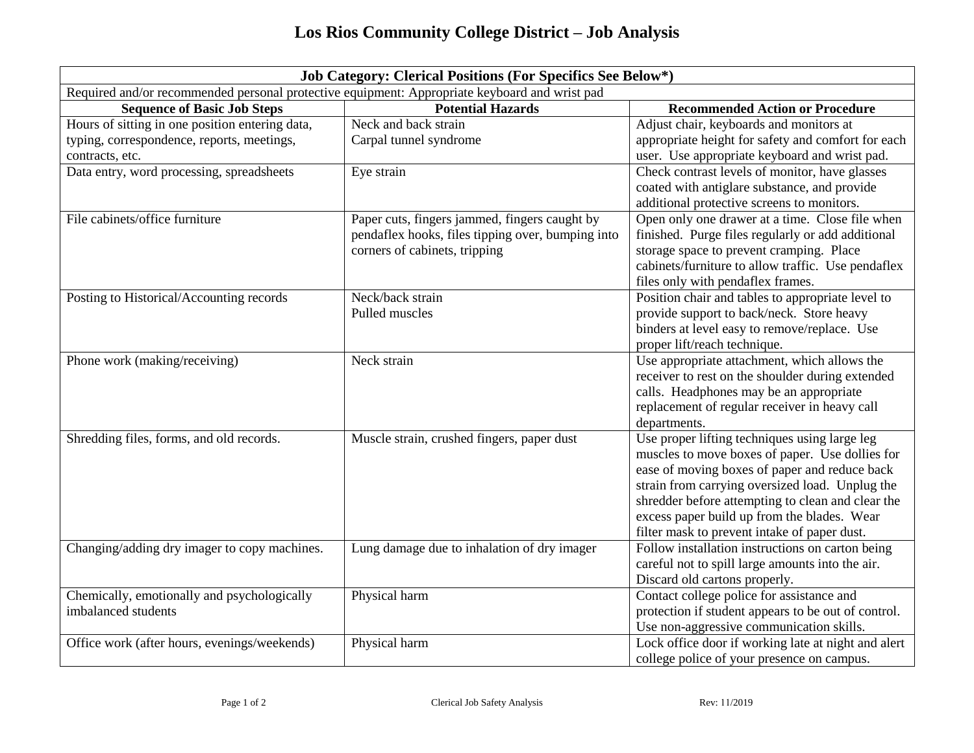| <b>Job Category: Clerical Positions (For Specifics See Below*)</b>                            |                                                   |                                                     |  |
|-----------------------------------------------------------------------------------------------|---------------------------------------------------|-----------------------------------------------------|--|
| Required and/or recommended personal protective equipment: Appropriate keyboard and wrist pad |                                                   |                                                     |  |
| <b>Sequence of Basic Job Steps</b>                                                            | <b>Potential Hazards</b>                          | <b>Recommended Action or Procedure</b>              |  |
| Hours of sitting in one position entering data,                                               | Neck and back strain                              | Adjust chair, keyboards and monitors at             |  |
| typing, correspondence, reports, meetings,                                                    | Carpal tunnel syndrome                            | appropriate height for safety and comfort for each  |  |
| contracts, etc.                                                                               |                                                   | user. Use appropriate keyboard and wrist pad.       |  |
| Data entry, word processing, spreadsheets                                                     | Eye strain                                        | Check contrast levels of monitor, have glasses      |  |
|                                                                                               |                                                   | coated with antiglare substance, and provide        |  |
|                                                                                               |                                                   | additional protective screens to monitors.          |  |
| File cabinets/office furniture                                                                | Paper cuts, fingers jammed, fingers caught by     | Open only one drawer at a time. Close file when     |  |
|                                                                                               | pendaflex hooks, files tipping over, bumping into | finished. Purge files regularly or add additional   |  |
|                                                                                               | corners of cabinets, tripping                     | storage space to prevent cramping. Place            |  |
|                                                                                               |                                                   | cabinets/furniture to allow traffic. Use pendaflex  |  |
|                                                                                               |                                                   | files only with pendaflex frames.                   |  |
| Posting to Historical/Accounting records                                                      | Neck/back strain                                  | Position chair and tables to appropriate level to   |  |
|                                                                                               | Pulled muscles                                    | provide support to back/neck. Store heavy           |  |
|                                                                                               |                                                   | binders at level easy to remove/replace. Use        |  |
|                                                                                               |                                                   | proper lift/reach technique.                        |  |
| Phone work (making/receiving)                                                                 | Neck strain                                       | Use appropriate attachment, which allows the        |  |
|                                                                                               |                                                   | receiver to rest on the shoulder during extended    |  |
|                                                                                               |                                                   | calls. Headphones may be an appropriate             |  |
|                                                                                               |                                                   | replacement of regular receiver in heavy call       |  |
|                                                                                               |                                                   | departments.                                        |  |
| Shredding files, forms, and old records.                                                      | Muscle strain, crushed fingers, paper dust        | Use proper lifting techniques using large leg       |  |
|                                                                                               |                                                   | muscles to move boxes of paper. Use dollies for     |  |
|                                                                                               |                                                   | ease of moving boxes of paper and reduce back       |  |
|                                                                                               |                                                   | strain from carrying oversized load. Unplug the     |  |
|                                                                                               |                                                   | shredder before attempting to clean and clear the   |  |
|                                                                                               |                                                   | excess paper build up from the blades. Wear         |  |
|                                                                                               |                                                   | filter mask to prevent intake of paper dust.        |  |
| Changing/adding dry imager to copy machines.                                                  | Lung damage due to inhalation of dry imager       | Follow installation instructions on carton being    |  |
|                                                                                               |                                                   | careful not to spill large amounts into the air.    |  |
|                                                                                               |                                                   | Discard old cartons properly.                       |  |
| Chemically, emotionally and psychologically                                                   | Physical harm                                     | Contact college police for assistance and           |  |
| imbalanced students                                                                           |                                                   | protection if student appears to be out of control. |  |
|                                                                                               |                                                   | Use non-aggressive communication skills.            |  |
| Office work (after hours, evenings/weekends)                                                  | Physical harm                                     | Lock office door if working late at night and alert |  |
|                                                                                               |                                                   | college police of your presence on campus.          |  |